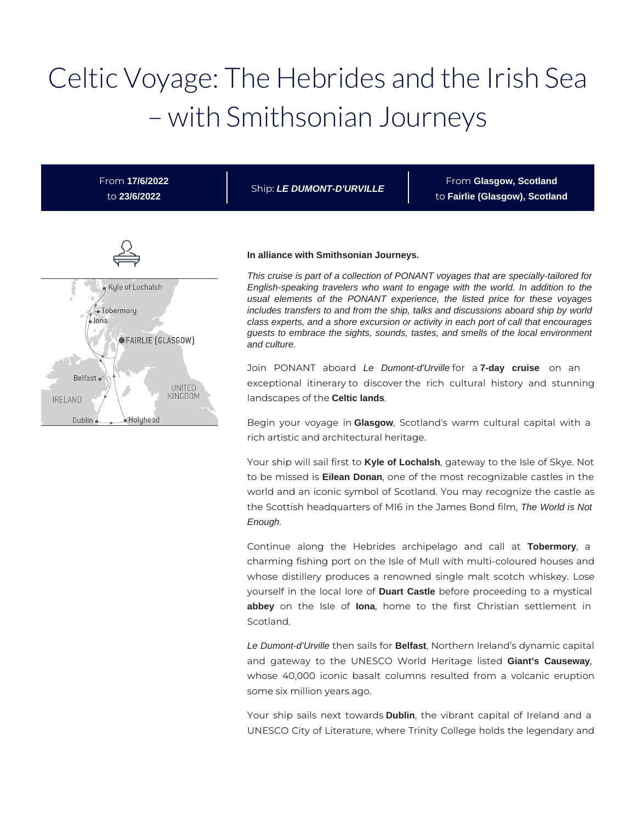# Celtic Voyage: The Hebrides and the Irish Sea – with Smithsonian Journeys

From **17/6/2022** to **23/6/2022**

Ship: **LE DUMONT-D'URVILLE**

From **Glasgow, Scotland** to **Fairlie (Glasgow), Scotland**



#### **In alliance with Smithsonian Journeys.**

This cruise is part of a collection of PONANT voyages that are specially-tailored for English-speaking travelers who want to engage with the world. In addition to the usual elements of the PONANT experience, the listed price for these voyages includes transfers to and from the ship, talks and discussions aboard ship by world class experts, and a shore excursion or activity in each port of call that encourages guests to embrace the sights, sounds, tastes, and smells of the local environment and culture.

Join PONANT aboard Le Dumont-d'Urville for a **7-day cruise** on an exceptional itinerary to discover the rich cultural history and stunning landscapes of the **Celtic lands**.

Begin your voyage in **Glasgow**, Scotland's warm cultural capital with a rich artistic and architectural heritage.

Your ship will sail first to **Kyle of Lochalsh**, gateway to the Isle of Skye. Not to be missed is **Eilean Donan**, one of the most recognizable castles in the world and an iconic symbol of Scotland. You may recognize the castle as the Scottish headquarters of MI6 in the James Bond film, The World is Not Enough.

Continue along the Hebrides archipelago and call at **Tobermory**, a charming fishing port on the Isle of Mull with multi-coloured houses and whose distillery produces a renowned single malt scotch whiskey. Lose yourself in the local lore of **Duart Castle** before proceeding to a mystical **abbey** on the Isle of **Iona**, home to the first Christian settlement in Scotland.

Le Dumont-d'Urville then sails for **Belfast**, Northern Ireland's dynamic capital and gateway to the UNESCO World Heritage listed **Giant's Causeway**, whose 40,000 iconic basalt columns resulted from a volcanic eruption some six million years ago.

Your ship sails next towards **Dublin**, the vibrant capital of Ireland and a UNESCO City of Literature, where Trinity College holds the legendary and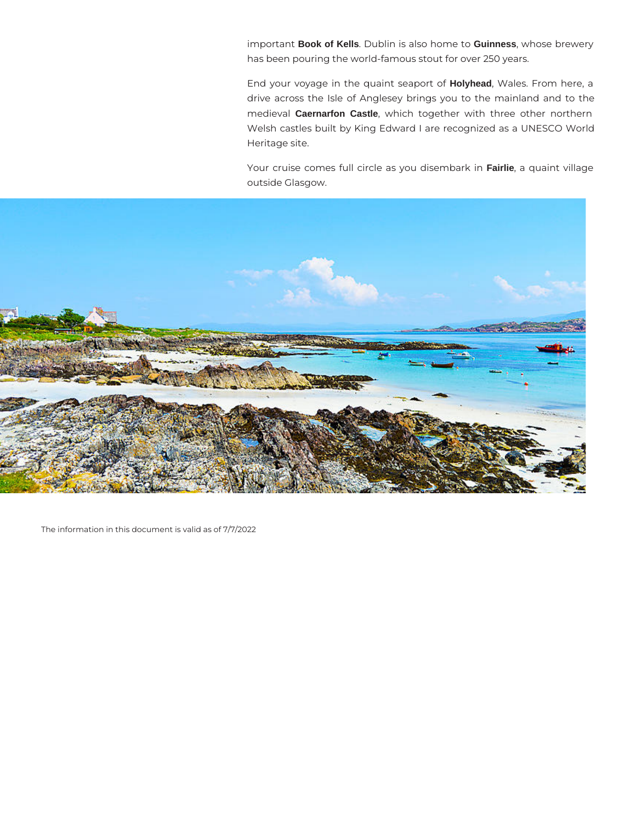important **Book of Kells**. Dublin is also home to **Guinness**, whose brewery has been pouring the world-famous stout for over 250 years.

End your voyage in the quaint seaport of **Holyhead**, Wales. From here, a drive across the Isle of Anglesey brings you to the mainland and to the medieval **Caernarfon Castle**, which together with three other northern Welsh castles built by King Edward I are recognized as a UNESCO World Heritage site.

Your cruise comes full circle as you disembark in **Fairlie**, a quaint village outside Glasgow.



The information in this document is valid as of 7/7/2022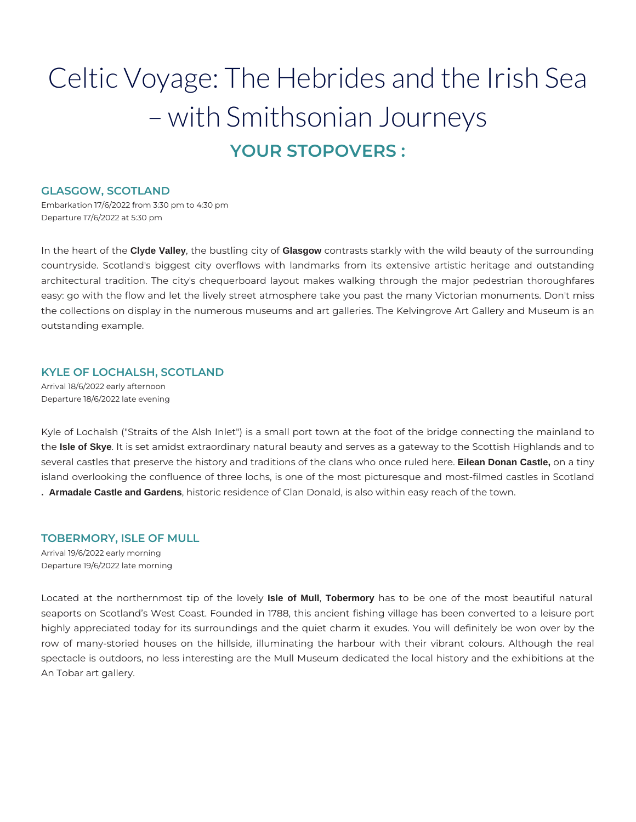## Celtic Voyage: The Hebrides and the Irish Sea – with Smithsonian Journeys **YOUR STOPOVERS :**

#### **GLASGOW, SCOTLAND**

Embarkation 17/6/2022 from 3:30 pm to 4:30 pm Departure 17/6/2022 at 5:30 pm

In the heart of the **Clyde Valley**, the bustling city of **Glasgow** contrasts starkly with the wild beauty of the surrounding countryside. Scotland's biggest city overflows with landmarks from its extensive artistic heritage and outstanding architectural tradition. The city's chequerboard layout makes walking through the major pedestrian thoroughfares easy: go with the flow and let the lively street atmosphere take you past the many Victorian monuments. Don't miss the collections on display in the numerous museums and art galleries. The Kelvingrove Art Gallery and Museum is an outstanding example.

#### **KYLE OF LOCHALSH, SCOTLAND**

Arrival 18/6/2022 early afternoon Departure 18/6/2022 late evening

Kyle of Lochalsh ("Straits of the Alsh Inlet") is a small port town at the foot of the bridge connecting the mainland to the **Isle of Skye**. It is set amidst extraordinary natural beauty and serves as a gateway to the Scottish Highlands and to several castles that preserve the history and traditions of the clans who once ruled here. **Eilean Donan Castle,** on a tiny island overlooking the confluence of three lochs, is one of the most picturesque and most-filmed castles in Scotland **. Armadale Castle and Gardens**, historic residence of Clan Donald, is also within easy reach of the town.

#### **TOBERMORY, ISLE OF MULL**

Arrival 19/6/2022 early morning Departure 19/6/2022 late morning

Located at the northernmost tip of the lovely **Isle of Mull**, **Tobermory** has to be one of the most beautiful natural seaports on Scotland's West Coast. Founded in 1788, this ancient fishing village has been converted to a leisure port highly appreciated today for its surroundings and the quiet charm it exudes. You will definitely be won over by the row of many-storied houses on the hillside, illuminating the harbour with their vibrant colours. Although the real spectacle is outdoors, no less interesting are the Mull Museum dedicated the local history and the exhibitions at the An Tobar art gallery.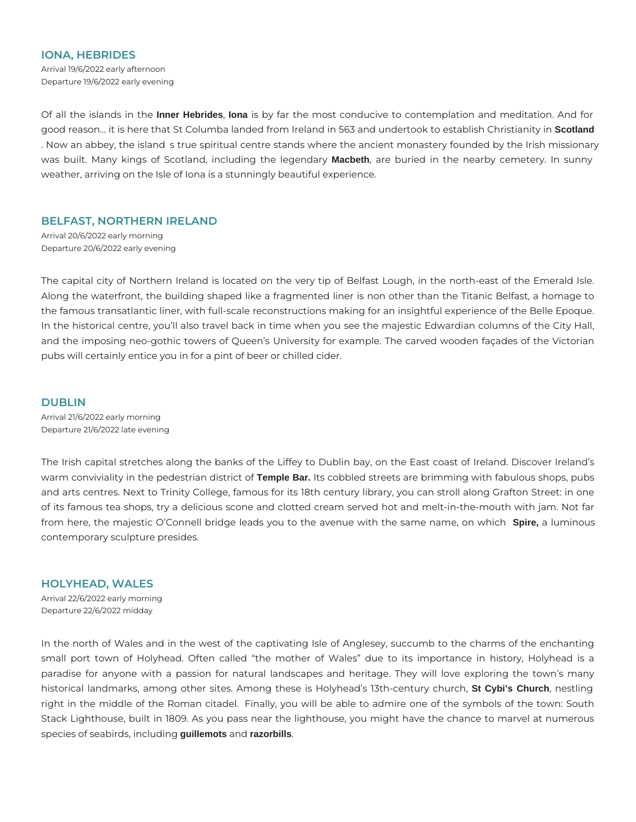#### **IONA, HEBRIDES**

Arrival 19/6/2022 early afternoon Departure 19/6/2022 early evening

Of all the islands in the **Inner Hebrides**, **Iona** is by far the most conducive to contemplation and meditation. And for good reason... it is here that St Columba landed from Ireland in 563 and undertook to establish Christianity in **Scotland** . Now an abbey, the island s true spiritual centre stands where the ancient monastery founded by the Irish missionary was built. Many kings of Scotland, including the legendary **Macbeth**, are buried in the nearby cemetery. In sunny weather, arriving on the Isle of Iona is a stunningly beautiful experience.

#### **BELFAST, NORTHERN IRELAND**

Arrival 20/6/2022 early morning Departure 20/6/2022 early evening

The capital city of Northern Ireland is located on the very tip of Belfast Lough, in the north-east of the Emerald Isle. Along the waterfront, the building shaped like a fragmented liner is non other than the Titanic Belfast, a homage to the famous transatlantic liner, with full-scale reconstructions making for an insightful experience of the Belle Epoque. In the historical centre, you'll also travel back in time when you see the majestic Edwardian columns of the City Hall, and the imposing neo-gothic towers of Queen's University for example. The carved wooden façades of the Victorian pubs will certainly entice you in for a pint of beer or chilled cider.

#### **DUBLIN**

Arrival 21/6/2022 early morning Departure 21/6/2022 late evening

The Irish capital stretches along the banks of the Liffey to Dublin bay, on the East coast of Ireland. Discover Ireland's warm conviviality in the pedestrian district of **Temple Bar.** Its cobbled streets are brimming with fabulous shops, pubs and arts centres. Next to Trinity College, famous for its 18th century library, you can stroll along Grafton Street: in one of its famous tea shops, try a delicious scone and clotted cream served hot and melt-in-the-mouth with jam. Not far from here, the majestic O'Connell bridge leads you to the avenue with the same name, on which **Spire,** a luminous contemporary sculpture presides.

#### **HOLYHEAD, WALES**

Arrival 22/6/2022 early morning Departure 22/6/2022 midday

In the north of Wales and in the west of the captivating Isle of Anglesey, succumb to the charms of the enchanting small port town of Holyhead. Often called "the mother of Wales" due to its importance in history, Holyhead is a paradise for anyone with a passion for natural landscapes and heritage. They will love exploring the town's many historical landmarks, among other sites. Among these is Holyhead's 13th-century church, **St Cybi's Church**, nestling right in the middle of the Roman citadel. Finally, you will be able to admire one of the symbols of the town: South Stack Lighthouse, built in 1809. As you pass near the lighthouse, you might have the chance to marvel at numerous species of seabirds, including **guillemots** and **razorbills**.